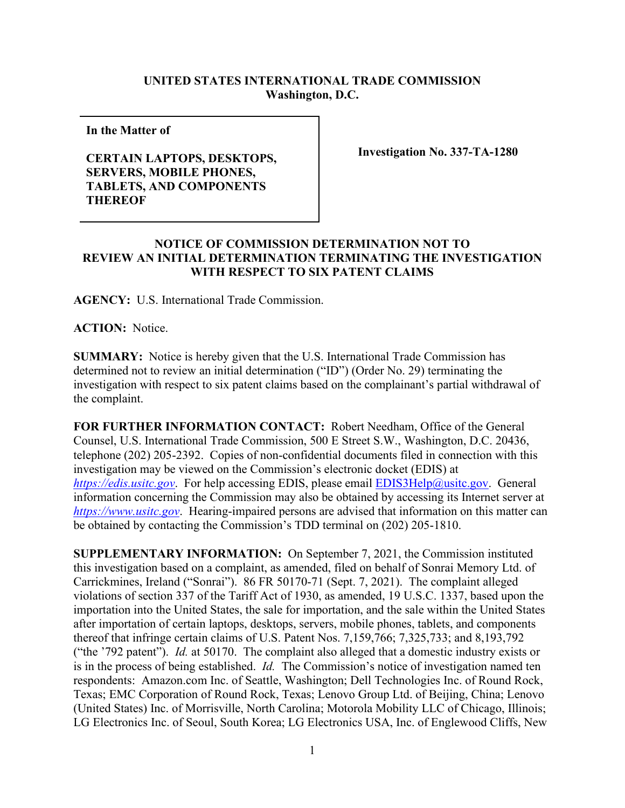## **UNITED STATES INTERNATIONAL TRADE COMMISSION Washington, D.C.**

**In the Matter of** 

## **CERTAIN LAPTOPS, DESKTOPS, SERVERS, MOBILE PHONES, TABLETS, AND COMPONENTS THEREOF**

**Investigation No. 337-TA-1280**

## **NOTICE OF COMMISSION DETERMINATION NOT TO REVIEW AN INITIAL DETERMINATION TERMINATING THE INVESTIGATION WITH RESPECT TO SIX PATENT CLAIMS**

**AGENCY:** U.S. International Trade Commission.

**ACTION:** Notice.

**SUMMARY:** Notice is hereby given that the U.S. International Trade Commission has determined not to review an initial determination ("ID") (Order No. 29) terminating the investigation with respect to six patent claims based on the complainant's partial withdrawal of the complaint.

**FOR FURTHER INFORMATION CONTACT:** Robert Needham, Office of the General Counsel, U.S. International Trade Commission, 500 E Street S.W., Washington, D.C. 20436, telephone (202) 205-2392. Copies of non-confidential documents filed in connection with this investigation may be viewed on the Commission's electronic docket (EDIS) at *[https://edis.usitc.gov](https://edis.usitc.gov/).* For help accessing EDIS, please email [EDIS3Help@usitc.gov.](mailto:EDIS3Help@usitc.gov) General information concerning the Commission may also be obtained by accessing its Internet server at *[https://www.usitc.gov](https://www.usitc.gov/)*. Hearing-impaired persons are advised that information on this matter can be obtained by contacting the Commission's TDD terminal on (202) 205-1810.

**SUPPLEMENTARY INFORMATION:** On September 7, 2021, the Commission instituted this investigation based on a complaint, as amended, filed on behalf of Sonrai Memory Ltd. of Carrickmines, Ireland ("Sonrai"). 86 FR 50170-71 (Sept. 7, 2021). The complaint alleged violations of section 337 of the Tariff Act of 1930, as amended, 19 U.S.C. 1337, based upon the importation into the United States, the sale for importation, and the sale within the United States after importation of certain laptops, desktops, servers, mobile phones, tablets, and components thereof that infringe certain claims of U.S. Patent Nos. 7,159,766; 7,325,733; and 8,193,792 ("the '792 patent"). *Id.* at 50170. The complaint also alleged that a domestic industry exists or is in the process of being established. *Id.* The Commission's notice of investigation named ten respondents: Amazon.com Inc. of Seattle, Washington; Dell Technologies Inc. of Round Rock, Texas; EMC Corporation of Round Rock, Texas; Lenovo Group Ltd. of Beijing, China; Lenovo (United States) Inc. of Morrisville, North Carolina; Motorola Mobility LLC of Chicago, Illinois; LG Electronics Inc. of Seoul, South Korea; LG Electronics USA, Inc. of Englewood Cliffs, New